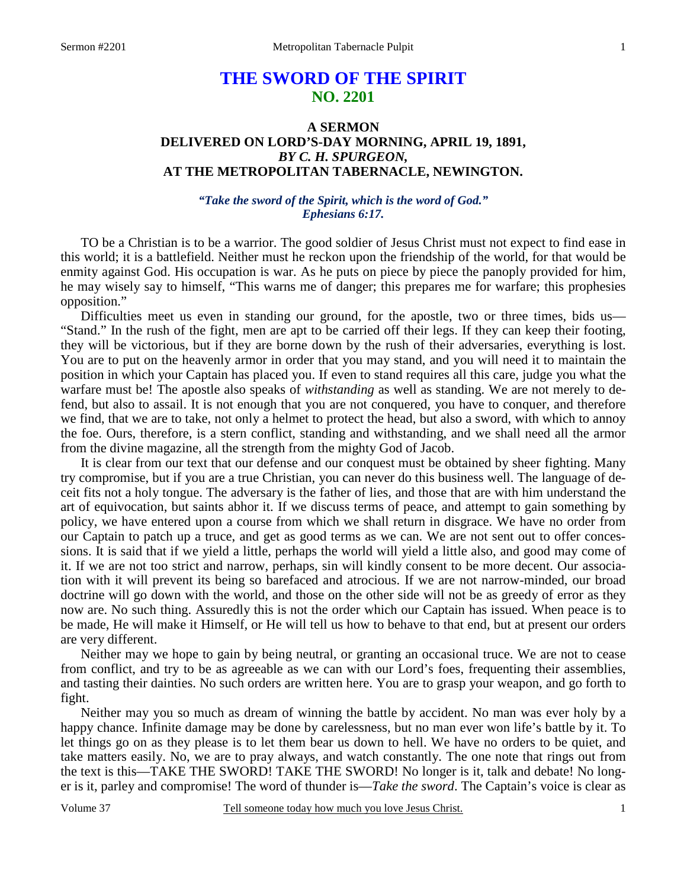# **THE SWORD OF THE SPIRIT NO. 2201**

# **A SERMON DELIVERED ON LORD'S-DAY MORNING, APRIL 19, 1891,**  *BY C. H. SPURGEON,*  **AT THE METROPOLITAN TABERNACLE, NEWINGTON.**

### *"Take the sword of the Spirit, which is the word of God." Ephesians 6:17.*

TO be a Christian is to be a warrior. The good soldier of Jesus Christ must not expect to find ease in this world; it is a battlefield. Neither must he reckon upon the friendship of the world, for that would be enmity against God. His occupation is war. As he puts on piece by piece the panoply provided for him, he may wisely say to himself, "This warns me of danger; this prepares me for warfare; this prophesies opposition."

Difficulties meet us even in standing our ground, for the apostle, two or three times, bids us— "Stand." In the rush of the fight, men are apt to be carried off their legs. If they can keep their footing, they will be victorious, but if they are borne down by the rush of their adversaries, everything is lost. You are to put on the heavenly armor in order that you may stand, and you will need it to maintain the position in which your Captain has placed you. If even to stand requires all this care, judge you what the warfare must be! The apostle also speaks of *withstanding* as well as standing. We are not merely to defend, but also to assail. It is not enough that you are not conquered, you have to conquer, and therefore we find, that we are to take, not only a helmet to protect the head, but also a sword, with which to annoy the foe. Ours, therefore, is a stern conflict, standing and withstanding, and we shall need all the armor from the divine magazine, all the strength from the mighty God of Jacob.

 It is clear from our text that our defense and our conquest must be obtained by sheer fighting. Many try compromise, but if you are a true Christian, you can never do this business well. The language of deceit fits not a holy tongue. The adversary is the father of lies, and those that are with him understand the art of equivocation, but saints abhor it. If we discuss terms of peace, and attempt to gain something by policy, we have entered upon a course from which we shall return in disgrace. We have no order from our Captain to patch up a truce, and get as good terms as we can. We are not sent out to offer concessions. It is said that if we yield a little, perhaps the world will yield a little also, and good may come of it. If we are not too strict and narrow, perhaps, sin will kindly consent to be more decent. Our association with it will prevent its being so barefaced and atrocious. If we are not narrow-minded, our broad doctrine will go down with the world, and those on the other side will not be as greedy of error as they now are. No such thing. Assuredly this is not the order which our Captain has issued. When peace is to be made, He will make it Himself, or He will tell us how to behave to that end, but at present our orders are very different.

 Neither may we hope to gain by being neutral, or granting an occasional truce. We are not to cease from conflict, and try to be as agreeable as we can with our Lord's foes, frequenting their assemblies, and tasting their dainties. No such orders are written here. You are to grasp your weapon, and go forth to fight.

 Neither may you so much as dream of winning the battle by accident. No man was ever holy by a happy chance. Infinite damage may be done by carelessness, but no man ever won life's battle by it. To let things go on as they please is to let them bear us down to hell. We have no orders to be quiet, and take matters easily. No, we are to pray always, and watch constantly. The one note that rings out from the text is this—TAKE THE SWORD! TAKE THE SWORD! No longer is it, talk and debate! No longer is it, parley and compromise! The word of thunder is—*Take the sword*. The Captain's voice is clear as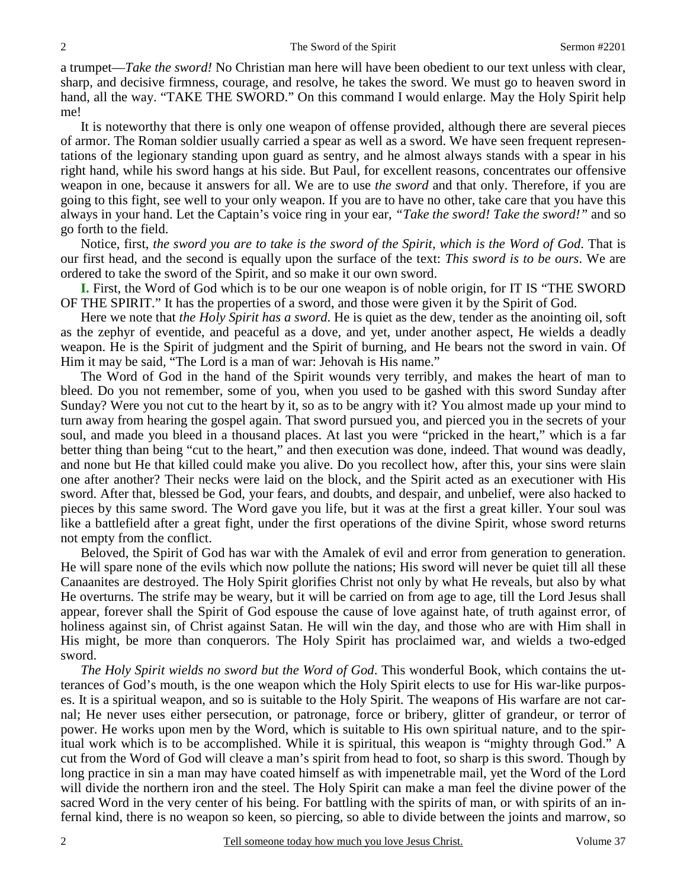a trumpet—*Take the sword!* No Christian man here will have been obedient to our text unless with clear, sharp, and decisive firmness, courage, and resolve, he takes the sword. We must go to heaven sword in hand, all the way. "TAKE THE SWORD." On this command I would enlarge. May the Holy Spirit help me!

 It is noteworthy that there is only one weapon of offense provided, although there are several pieces of armor. The Roman soldier usually carried a spear as well as a sword. We have seen frequent representations of the legionary standing upon guard as sentry, and he almost always stands with a spear in his right hand, while his sword hangs at his side. But Paul, for excellent reasons, concentrates our offensive weapon in one, because it answers for all. We are to use *the sword* and that only. Therefore, if you are going to this fight, see well to your only weapon. If you are to have no other, take care that you have this always in your hand. Let the Captain's voice ring in your ear, *"Take the sword! Take the sword!"* and so go forth to the field.

 Notice, first, *the sword you are to take is the sword of the Spirit, which is the Word of God*. That is our first head, and the second is equally upon the surface of the text: *This sword is to be ours*. We are ordered to take the sword of the Spirit, and so make it our own sword.

**I.** First, the Word of God which is to be our one weapon is of noble origin, for IT IS "THE SWORD OF THE SPIRIT." It has the properties of a sword, and those were given it by the Spirit of God.

 Here we note that *the Holy Spirit has a sword*. He is quiet as the dew, tender as the anointing oil, soft as the zephyr of eventide, and peaceful as a dove, and yet, under another aspect, He wields a deadly weapon. He is the Spirit of judgment and the Spirit of burning, and He bears not the sword in vain. Of Him it may be said, "The Lord is a man of war: Jehovah is His name."

 The Word of God in the hand of the Spirit wounds very terribly, and makes the heart of man to bleed. Do you not remember, some of you, when you used to be gashed with this sword Sunday after Sunday? Were you not cut to the heart by it, so as to be angry with it? You almost made up your mind to turn away from hearing the gospel again. That sword pursued you, and pierced you in the secrets of your soul, and made you bleed in a thousand places. At last you were "pricked in the heart," which is a far better thing than being "cut to the heart," and then execution was done, indeed. That wound was deadly, and none but He that killed could make you alive. Do you recollect how, after this, your sins were slain one after another? Their necks were laid on the block, and the Spirit acted as an executioner with His sword. After that, blessed be God, your fears, and doubts, and despair, and unbelief, were also hacked to pieces by this same sword. The Word gave you life, but it was at the first a great killer. Your soul was like a battlefield after a great fight, under the first operations of the divine Spirit, whose sword returns not empty from the conflict.

 Beloved, the Spirit of God has war with the Amalek of evil and error from generation to generation. He will spare none of the evils which now pollute the nations; His sword will never be quiet till all these Canaanites are destroyed. The Holy Spirit glorifies Christ not only by what He reveals, but also by what He overturns. The strife may be weary, but it will be carried on from age to age, till the Lord Jesus shall appear, forever shall the Spirit of God espouse the cause of love against hate, of truth against error, of holiness against sin, of Christ against Satan. He will win the day, and those who are with Him shall in His might, be more than conquerors. The Holy Spirit has proclaimed war, and wields a two-edged sword.

*The Holy Spirit wields no sword but the Word of God*. This wonderful Book, which contains the utterances of God's mouth, is the one weapon which the Holy Spirit elects to use for His war-like purposes. It is a spiritual weapon, and so is suitable to the Holy Spirit. The weapons of His warfare are not carnal; He never uses either persecution, or patronage, force or bribery, glitter of grandeur, or terror of power. He works upon men by the Word, which is suitable to His own spiritual nature, and to the spiritual work which is to be accomplished. While it is spiritual, this weapon is "mighty through God." A cut from the Word of God will cleave a man's spirit from head to foot, so sharp is this sword. Though by long practice in sin a man may have coated himself as with impenetrable mail, yet the Word of the Lord will divide the northern iron and the steel. The Holy Spirit can make a man feel the divine power of the sacred Word in the very center of his being. For battling with the spirits of man, or with spirits of an infernal kind, there is no weapon so keen, so piercing, so able to divide between the joints and marrow, so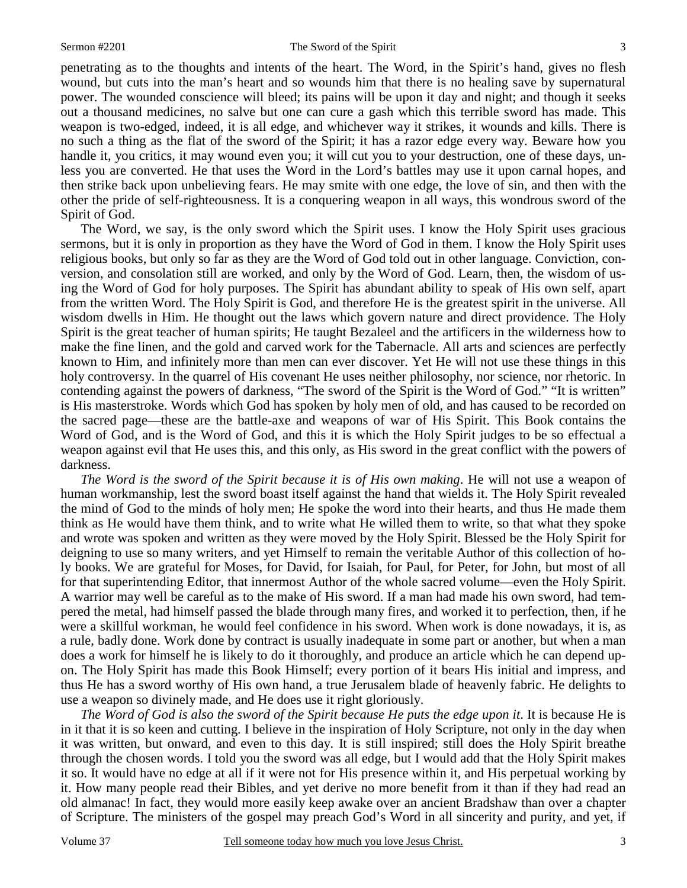penetrating as to the thoughts and intents of the heart. The Word, in the Spirit's hand, gives no flesh wound, but cuts into the man's heart and so wounds him that there is no healing save by supernatural power. The wounded conscience will bleed; its pains will be upon it day and night; and though it seeks out a thousand medicines, no salve but one can cure a gash which this terrible sword has made. This weapon is two-edged, indeed, it is all edge, and whichever way it strikes, it wounds and kills. There is no such a thing as the flat of the sword of the Spirit; it has a razor edge every way. Beware how you handle it, you critics, it may wound even you; it will cut you to your destruction, one of these days, unless you are converted. He that uses the Word in the Lord's battles may use it upon carnal hopes, and then strike back upon unbelieving fears. He may smite with one edge, the love of sin, and then with the other the pride of self-righteousness. It is a conquering weapon in all ways, this wondrous sword of the Spirit of God.

 The Word, we say, is the only sword which the Spirit uses. I know the Holy Spirit uses gracious sermons, but it is only in proportion as they have the Word of God in them. I know the Holy Spirit uses religious books, but only so far as they are the Word of God told out in other language. Conviction, conversion, and consolation still are worked, and only by the Word of God. Learn, then, the wisdom of using the Word of God for holy purposes. The Spirit has abundant ability to speak of His own self, apart from the written Word. The Holy Spirit is God, and therefore He is the greatest spirit in the universe. All wisdom dwells in Him. He thought out the laws which govern nature and direct providence. The Holy Spirit is the great teacher of human spirits; He taught Bezaleel and the artificers in the wilderness how to make the fine linen, and the gold and carved work for the Tabernacle. All arts and sciences are perfectly known to Him, and infinitely more than men can ever discover. Yet He will not use these things in this holy controversy. In the quarrel of His covenant He uses neither philosophy, nor science, nor rhetoric. In contending against the powers of darkness, "The sword of the Spirit is the Word of God." "It is written" is His masterstroke. Words which God has spoken by holy men of old, and has caused to be recorded on the sacred page—these are the battle-axe and weapons of war of His Spirit. This Book contains the Word of God, and is the Word of God, and this it is which the Holy Spirit judges to be so effectual a weapon against evil that He uses this, and this only, as His sword in the great conflict with the powers of darkness.

*The Word is the sword of the Spirit because it is of His own making*. He will not use a weapon of human workmanship, lest the sword boast itself against the hand that wields it. The Holy Spirit revealed the mind of God to the minds of holy men; He spoke the word into their hearts, and thus He made them think as He would have them think, and to write what He willed them to write, so that what they spoke and wrote was spoken and written as they were moved by the Holy Spirit. Blessed be the Holy Spirit for deigning to use so many writers, and yet Himself to remain the veritable Author of this collection of holy books. We are grateful for Moses, for David, for Isaiah, for Paul, for Peter, for John, but most of all for that superintending Editor, that innermost Author of the whole sacred volume—even the Holy Spirit. A warrior may well be careful as to the make of His sword. If a man had made his own sword, had tempered the metal, had himself passed the blade through many fires, and worked it to perfection, then, if he were a skillful workman, he would feel confidence in his sword. When work is done nowadays, it is, as a rule, badly done. Work done by contract is usually inadequate in some part or another, but when a man does a work for himself he is likely to do it thoroughly, and produce an article which he can depend upon. The Holy Spirit has made this Book Himself; every portion of it bears His initial and impress, and thus He has a sword worthy of His own hand, a true Jerusalem blade of heavenly fabric. He delights to use a weapon so divinely made, and He does use it right gloriously.

*The Word of God is also the sword of the Spirit because He puts the edge upon it*. It is because He is in it that it is so keen and cutting. I believe in the inspiration of Holy Scripture, not only in the day when it was written, but onward, and even to this day. It is still inspired; still does the Holy Spirit breathe through the chosen words. I told you the sword was all edge, but I would add that the Holy Spirit makes it so. It would have no edge at all if it were not for His presence within it, and His perpetual working by it. How many people read their Bibles, and yet derive no more benefit from it than if they had read an old almanac! In fact, they would more easily keep awake over an ancient Bradshaw than over a chapter of Scripture. The ministers of the gospel may preach God's Word in all sincerity and purity, and yet, if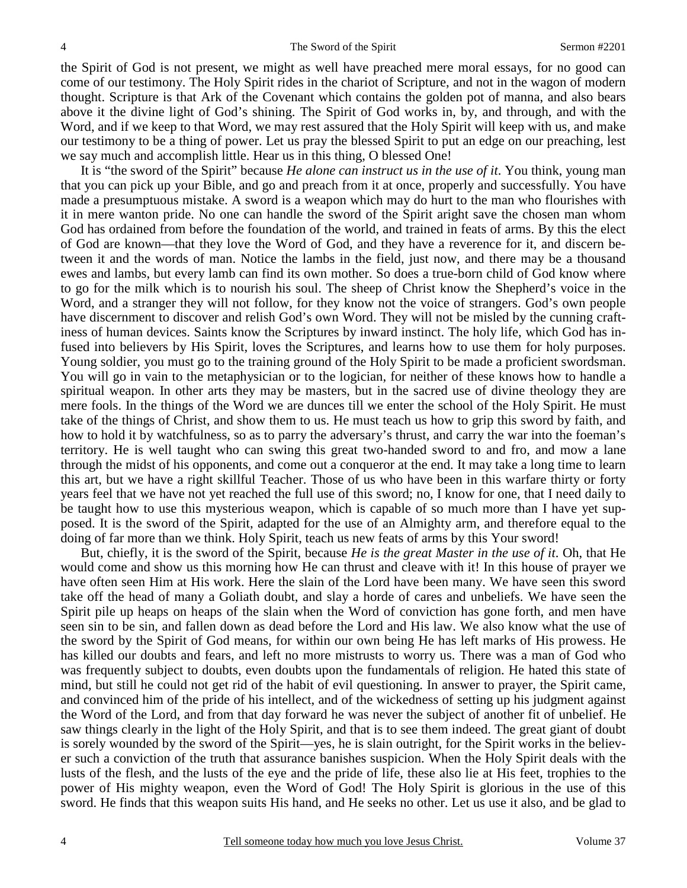the Spirit of God is not present, we might as well have preached mere moral essays, for no good can come of our testimony. The Holy Spirit rides in the chariot of Scripture, and not in the wagon of modern thought. Scripture is that Ark of the Covenant which contains the golden pot of manna, and also bears above it the divine light of God's shining. The Spirit of God works in, by, and through, and with the Word, and if we keep to that Word, we may rest assured that the Holy Spirit will keep with us, and make our testimony to be a thing of power. Let us pray the blessed Spirit to put an edge on our preaching, lest we say much and accomplish little. Hear us in this thing, O blessed One!

 It is "the sword of the Spirit" because *He alone can instruct us in the use of it*. You think, young man that you can pick up your Bible, and go and preach from it at once, properly and successfully. You have made a presumptuous mistake. A sword is a weapon which may do hurt to the man who flourishes with it in mere wanton pride. No one can handle the sword of the Spirit aright save the chosen man whom God has ordained from before the foundation of the world, and trained in feats of arms. By this the elect of God are known—that they love the Word of God, and they have a reverence for it, and discern between it and the words of man. Notice the lambs in the field, just now, and there may be a thousand ewes and lambs, but every lamb can find its own mother. So does a true-born child of God know where to go for the milk which is to nourish his soul. The sheep of Christ know the Shepherd's voice in the Word, and a stranger they will not follow, for they know not the voice of strangers. God's own people have discernment to discover and relish God's own Word. They will not be misled by the cunning craftiness of human devices. Saints know the Scriptures by inward instinct. The holy life, which God has infused into believers by His Spirit, loves the Scriptures, and learns how to use them for holy purposes. Young soldier, you must go to the training ground of the Holy Spirit to be made a proficient swordsman. You will go in vain to the metaphysician or to the logician, for neither of these knows how to handle a spiritual weapon. In other arts they may be masters, but in the sacred use of divine theology they are mere fools. In the things of the Word we are dunces till we enter the school of the Holy Spirit. He must take of the things of Christ, and show them to us. He must teach us how to grip this sword by faith, and how to hold it by watchfulness, so as to parry the adversary's thrust, and carry the war into the foeman's territory. He is well taught who can swing this great two-handed sword to and fro, and mow a lane through the midst of his opponents, and come out a conqueror at the end. It may take a long time to learn this art, but we have a right skillful Teacher. Those of us who have been in this warfare thirty or forty years feel that we have not yet reached the full use of this sword; no, I know for one, that I need daily to be taught how to use this mysterious weapon, which is capable of so much more than I have yet supposed. It is the sword of the Spirit, adapted for the use of an Almighty arm, and therefore equal to the doing of far more than we think. Holy Spirit, teach us new feats of arms by this Your sword!

 But, chiefly, it is the sword of the Spirit, because *He is the great Master in the use of it*. Oh, that He would come and show us this morning how He can thrust and cleave with it! In this house of prayer we have often seen Him at His work. Here the slain of the Lord have been many. We have seen this sword take off the head of many a Goliath doubt, and slay a horde of cares and unbeliefs. We have seen the Spirit pile up heaps on heaps of the slain when the Word of conviction has gone forth, and men have seen sin to be sin, and fallen down as dead before the Lord and His law. We also know what the use of the sword by the Spirit of God means, for within our own being He has left marks of His prowess. He has killed our doubts and fears, and left no more mistrusts to worry us. There was a man of God who was frequently subject to doubts, even doubts upon the fundamentals of religion. He hated this state of mind, but still he could not get rid of the habit of evil questioning. In answer to prayer, the Spirit came, and convinced him of the pride of his intellect, and of the wickedness of setting up his judgment against the Word of the Lord, and from that day forward he was never the subject of another fit of unbelief. He saw things clearly in the light of the Holy Spirit, and that is to see them indeed. The great giant of doubt is sorely wounded by the sword of the Spirit—yes, he is slain outright, for the Spirit works in the believer such a conviction of the truth that assurance banishes suspicion. When the Holy Spirit deals with the lusts of the flesh, and the lusts of the eye and the pride of life, these also lie at His feet, trophies to the power of His mighty weapon, even the Word of God! The Holy Spirit is glorious in the use of this sword. He finds that this weapon suits His hand, and He seeks no other. Let us use it also, and be glad to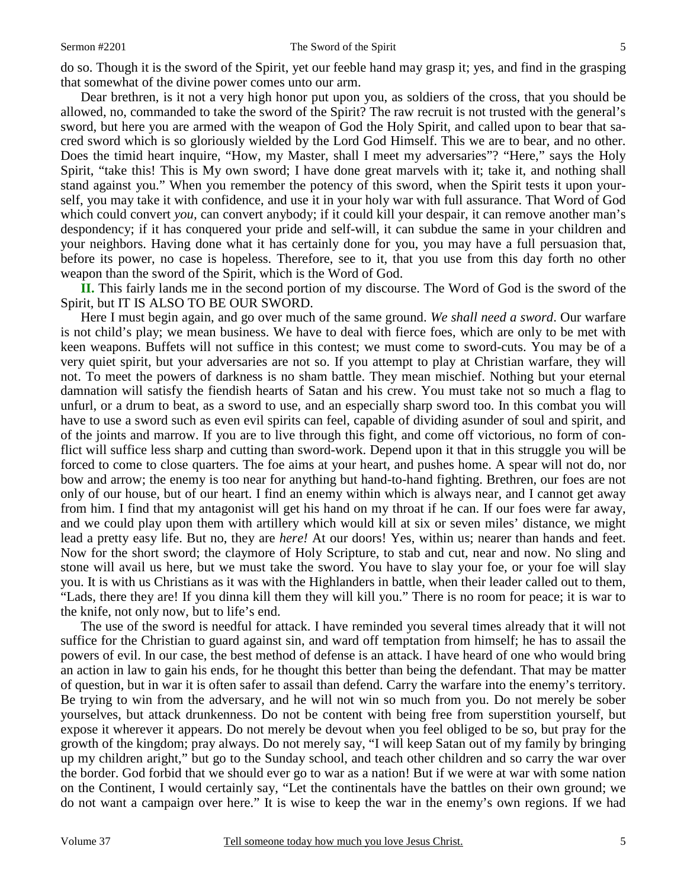do so. Though it is the sword of the Spirit, yet our feeble hand may grasp it; yes, and find in the grasping that somewhat of the divine power comes unto our arm.

 Dear brethren, is it not a very high honor put upon you, as soldiers of the cross, that you should be allowed, no, commanded to take the sword of the Spirit? The raw recruit is not trusted with the general's sword, but here you are armed with the weapon of God the Holy Spirit, and called upon to bear that sacred sword which is so gloriously wielded by the Lord God Himself. This we are to bear, and no other. Does the timid heart inquire, "How, my Master, shall I meet my adversaries"? "Here," says the Holy Spirit, "take this! This is My own sword; I have done great marvels with it; take it, and nothing shall stand against you." When you remember the potency of this sword, when the Spirit tests it upon yourself, you may take it with confidence, and use it in your holy war with full assurance. That Word of God which could convert *you*, can convert anybody; if it could kill your despair, it can remove another man's despondency; if it has conquered your pride and self-will, it can subdue the same in your children and your neighbors. Having done what it has certainly done for you, you may have a full persuasion that, before its power, no case is hopeless. Therefore, see to it, that you use from this day forth no other weapon than the sword of the Spirit, which is the Word of God.

**II.** This fairly lands me in the second portion of my discourse. The Word of God is the sword of the Spirit, but IT IS ALSO TO BE OUR SWORD.

 Here I must begin again, and go over much of the same ground. *We shall need a sword*. Our warfare is not child's play; we mean business. We have to deal with fierce foes, which are only to be met with keen weapons. Buffets will not suffice in this contest; we must come to sword-cuts. You may be of a very quiet spirit, but your adversaries are not so. If you attempt to play at Christian warfare, they will not. To meet the powers of darkness is no sham battle. They mean mischief. Nothing but your eternal damnation will satisfy the fiendish hearts of Satan and his crew. You must take not so much a flag to unfurl, or a drum to beat, as a sword to use, and an especially sharp sword too. In this combat you will have to use a sword such as even evil spirits can feel, capable of dividing asunder of soul and spirit, and of the joints and marrow. If you are to live through this fight, and come off victorious, no form of conflict will suffice less sharp and cutting than sword-work. Depend upon it that in this struggle you will be forced to come to close quarters. The foe aims at your heart, and pushes home. A spear will not do, nor bow and arrow; the enemy is too near for anything but hand-to-hand fighting. Brethren, our foes are not only of our house, but of our heart. I find an enemy within which is always near, and I cannot get away from him. I find that my antagonist will get his hand on my throat if he can. If our foes were far away, and we could play upon them with artillery which would kill at six or seven miles' distance, we might lead a pretty easy life. But no, they are *here!* At our doors! Yes, within us; nearer than hands and feet. Now for the short sword; the claymore of Holy Scripture, to stab and cut, near and now. No sling and stone will avail us here, but we must take the sword. You have to slay your foe, or your foe will slay you. It is with us Christians as it was with the Highlanders in battle, when their leader called out to them, "Lads, there they are! If you dinna kill them they will kill you." There is no room for peace; it is war to the knife, not only now, but to life's end.

 The use of the sword is needful for attack. I have reminded you several times already that it will not suffice for the Christian to guard against sin, and ward off temptation from himself; he has to assail the powers of evil. In our case, the best method of defense is an attack. I have heard of one who would bring an action in law to gain his ends, for he thought this better than being the defendant. That may be matter of question, but in war it is often safer to assail than defend. Carry the warfare into the enemy's territory. Be trying to win from the adversary, and he will not win so much from you. Do not merely be sober yourselves, but attack drunkenness. Do not be content with being free from superstition yourself, but expose it wherever it appears. Do not merely be devout when you feel obliged to be so, but pray for the growth of the kingdom; pray always. Do not merely say, "I will keep Satan out of my family by bringing up my children aright," but go to the Sunday school, and teach other children and so carry the war over the border. God forbid that we should ever go to war as a nation! But if we were at war with some nation on the Continent, I would certainly say, "Let the continentals have the battles on their own ground; we do not want a campaign over here." It is wise to keep the war in the enemy's own regions. If we had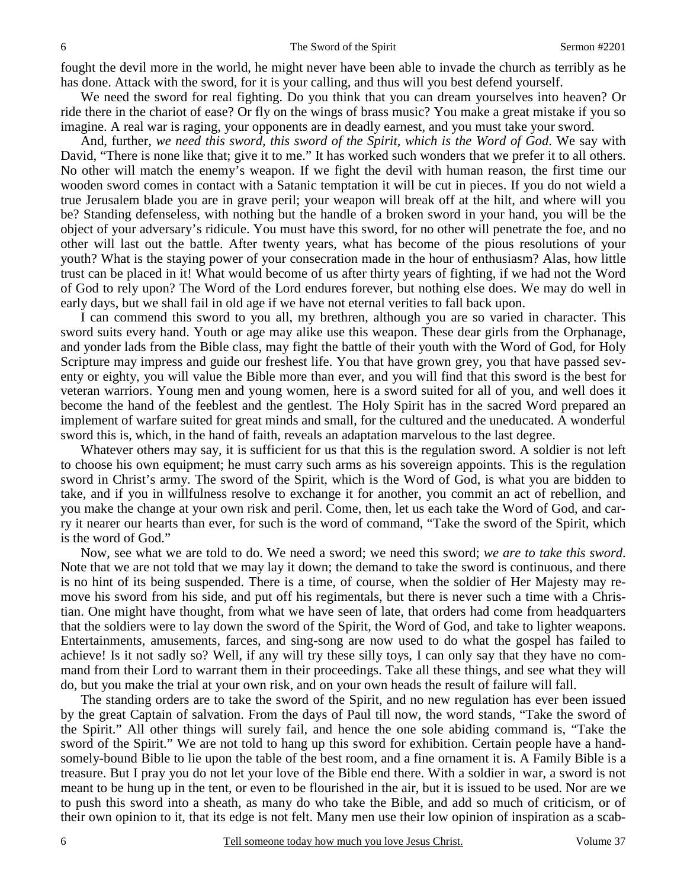fought the devil more in the world, he might never have been able to invade the church as terribly as he has done. Attack with the sword, for it is your calling, and thus will you best defend yourself.

 We need the sword for real fighting. Do you think that you can dream yourselves into heaven? Or ride there in the chariot of ease? Or fly on the wings of brass music? You make a great mistake if you so imagine. A real war is raging, your opponents are in deadly earnest, and you must take your sword.

 And, further, *we need this sword, this sword of the Spirit, which is the Word of God*. We say with David, "There is none like that; give it to me." It has worked such wonders that we prefer it to all others. No other will match the enemy's weapon. If we fight the devil with human reason, the first time our wooden sword comes in contact with a Satanic temptation it will be cut in pieces. If you do not wield a true Jerusalem blade you are in grave peril; your weapon will break off at the hilt, and where will you be? Standing defenseless, with nothing but the handle of a broken sword in your hand, you will be the object of your adversary's ridicule. You must have this sword, for no other will penetrate the foe, and no other will last out the battle. After twenty years, what has become of the pious resolutions of your youth? What is the staying power of your consecration made in the hour of enthusiasm? Alas, how little trust can be placed in it! What would become of us after thirty years of fighting, if we had not the Word of God to rely upon? The Word of the Lord endures forever, but nothing else does. We may do well in early days, but we shall fail in old age if we have not eternal verities to fall back upon.

 I can commend this sword to you all, my brethren, although you are so varied in character. This sword suits every hand. Youth or age may alike use this weapon. These dear girls from the Orphanage, and yonder lads from the Bible class, may fight the battle of their youth with the Word of God, for Holy Scripture may impress and guide our freshest life. You that have grown grey, you that have passed seventy or eighty, you will value the Bible more than ever, and you will find that this sword is the best for veteran warriors. Young men and young women, here is a sword suited for all of you, and well does it become the hand of the feeblest and the gentlest. The Holy Spirit has in the sacred Word prepared an implement of warfare suited for great minds and small, for the cultured and the uneducated. A wonderful sword this is, which, in the hand of faith, reveals an adaptation marvelous to the last degree.

 Whatever others may say, it is sufficient for us that this is the regulation sword. A soldier is not left to choose his own equipment; he must carry such arms as his sovereign appoints. This is the regulation sword in Christ's army. The sword of the Spirit, which is the Word of God, is what you are bidden to take, and if you in willfulness resolve to exchange it for another, you commit an act of rebellion, and you make the change at your own risk and peril. Come, then, let us each take the Word of God, and carry it nearer our hearts than ever, for such is the word of command, "Take the sword of the Spirit, which is the word of God."

 Now, see what we are told to do. We need a sword; we need this sword; *we are to take this sword*. Note that we are not told that we may lay it down; the demand to take the sword is continuous, and there is no hint of its being suspended. There is a time, of course, when the soldier of Her Majesty may remove his sword from his side, and put off his regimentals, but there is never such a time with a Christian. One might have thought, from what we have seen of late, that orders had come from headquarters that the soldiers were to lay down the sword of the Spirit, the Word of God, and take to lighter weapons. Entertainments, amusements, farces, and sing-song are now used to do what the gospel has failed to achieve! Is it not sadly so? Well, if any will try these silly toys, I can only say that they have no command from their Lord to warrant them in their proceedings. Take all these things, and see what they will do, but you make the trial at your own risk, and on your own heads the result of failure will fall.

 The standing orders are to take the sword of the Spirit, and no new regulation has ever been issued by the great Captain of salvation. From the days of Paul till now, the word stands, "Take the sword of the Spirit." All other things will surely fail, and hence the one sole abiding command is, "Take the sword of the Spirit." We are not told to hang up this sword for exhibition. Certain people have a handsomely-bound Bible to lie upon the table of the best room, and a fine ornament it is. A Family Bible is a treasure. But I pray you do not let your love of the Bible end there. With a soldier in war, a sword is not meant to be hung up in the tent, or even to be flourished in the air, but it is issued to be used. Nor are we to push this sword into a sheath, as many do who take the Bible, and add so much of criticism, or of their own opinion to it, that its edge is not felt. Many men use their low opinion of inspiration as a scab-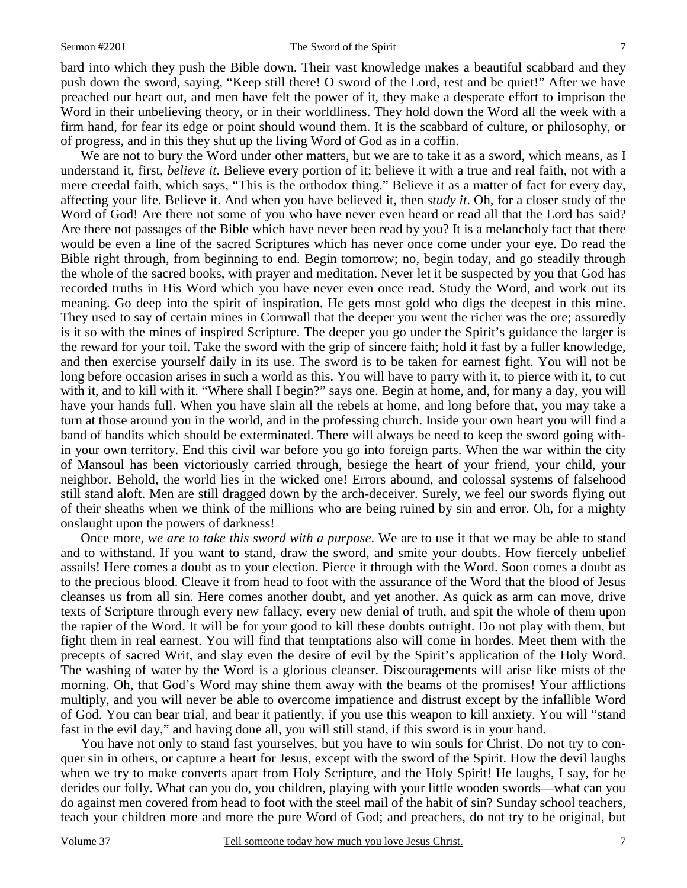#### Sermon #2201 The Sword of the Spirit 7

bard into which they push the Bible down. Their vast knowledge makes a beautiful scabbard and they push down the sword, saying, "Keep still there! O sword of the Lord, rest and be quiet!" After we have preached our heart out, and men have felt the power of it, they make a desperate effort to imprison the Word in their unbelieving theory, or in their worldliness. They hold down the Word all the week with a firm hand, for fear its edge or point should wound them. It is the scabbard of culture, or philosophy, or of progress, and in this they shut up the living Word of God as in a coffin.

 We are not to bury the Word under other matters, but we are to take it as a sword, which means, as I understand it, first, *believe it*. Believe every portion of it; believe it with a true and real faith, not with a mere creedal faith, which says, "This is the orthodox thing." Believe it as a matter of fact for every day, affecting your life. Believe it. And when you have believed it, then *study it*. Oh, for a closer study of the Word of God! Are there not some of you who have never even heard or read all that the Lord has said? Are there not passages of the Bible which have never been read by you? It is a melancholy fact that there would be even a line of the sacred Scriptures which has never once come under your eye. Do read the Bible right through, from beginning to end. Begin tomorrow; no, begin today, and go steadily through the whole of the sacred books, with prayer and meditation. Never let it be suspected by you that God has recorded truths in His Word which you have never even once read. Study the Word, and work out its meaning. Go deep into the spirit of inspiration. He gets most gold who digs the deepest in this mine. They used to say of certain mines in Cornwall that the deeper you went the richer was the ore; assuredly is it so with the mines of inspired Scripture. The deeper you go under the Spirit's guidance the larger is the reward for your toil. Take the sword with the grip of sincere faith; hold it fast by a fuller knowledge, and then exercise yourself daily in its use. The sword is to be taken for earnest fight. You will not be long before occasion arises in such a world as this. You will have to parry with it, to pierce with it, to cut with it, and to kill with it. "Where shall I begin?" says one. Begin at home, and, for many a day, you will have your hands full. When you have slain all the rebels at home, and long before that, you may take a turn at those around you in the world, and in the professing church. Inside your own heart you will find a band of bandits which should be exterminated. There will always be need to keep the sword going within your own territory. End this civil war before you go into foreign parts. When the war within the city of Mansoul has been victoriously carried through, besiege the heart of your friend, your child, your neighbor. Behold, the world lies in the wicked one! Errors abound, and colossal systems of falsehood still stand aloft. Men are still dragged down by the arch-deceiver. Surely, we feel our swords flying out of their sheaths when we think of the millions who are being ruined by sin and error. Oh, for a mighty onslaught upon the powers of darkness!

Once more, *we are to take this sword with a purpose*. We are to use it that we may be able to stand and to withstand. If you want to stand, draw the sword, and smite your doubts. How fiercely unbelief assails! Here comes a doubt as to your election. Pierce it through with the Word. Soon comes a doubt as to the precious blood. Cleave it from head to foot with the assurance of the Word that the blood of Jesus cleanses us from all sin. Here comes another doubt, and yet another. As quick as arm can move, drive texts of Scripture through every new fallacy, every new denial of truth, and spit the whole of them upon the rapier of the Word. It will be for your good to kill these doubts outright. Do not play with them, but fight them in real earnest. You will find that temptations also will come in hordes. Meet them with the precepts of sacred Writ, and slay even the desire of evil by the Spirit's application of the Holy Word. The washing of water by the Word is a glorious cleanser. Discouragements will arise like mists of the morning. Oh, that God's Word may shine them away with the beams of the promises! Your afflictions multiply, and you will never be able to overcome impatience and distrust except by the infallible Word of God. You can bear trial, and bear it patiently, if you use this weapon to kill anxiety. You will "stand fast in the evil day," and having done all, you will still stand, if this sword is in your hand.

 You have not only to stand fast yourselves, but you have to win souls for Christ. Do not try to conquer sin in others, or capture a heart for Jesus, except with the sword of the Spirit. How the devil laughs when we try to make converts apart from Holy Scripture, and the Holy Spirit! He laughs, I say, for he derides our folly. What can you do, you children, playing with your little wooden swords—what can you do against men covered from head to foot with the steel mail of the habit of sin? Sunday school teachers, teach your children more and more the pure Word of God; and preachers, do not try to be original, but